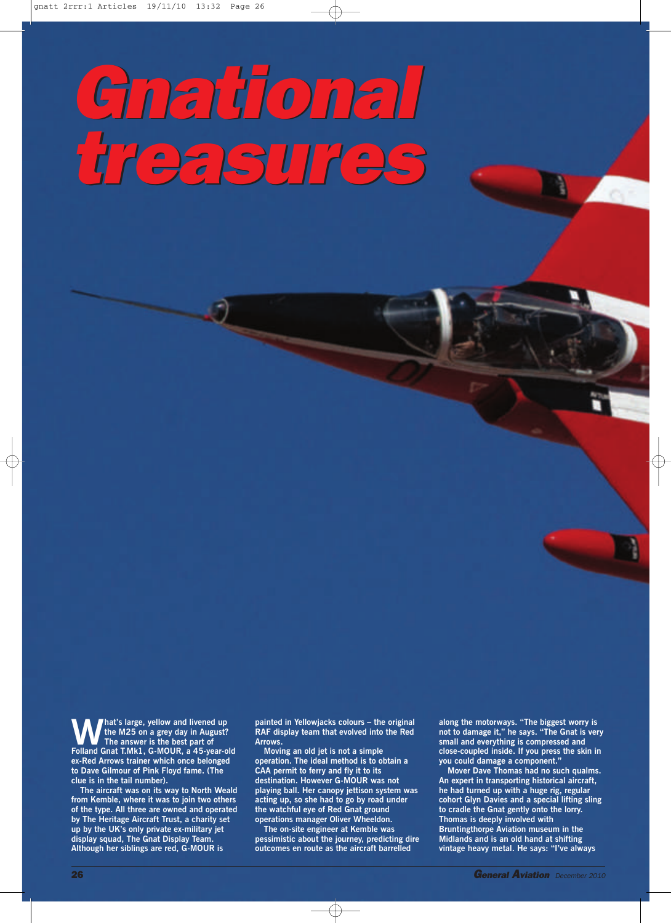## *Gnational treasures Gnational treasures*

**What's large, yellow and livened up**<br>
The answer is the best part of<br> **Epliand Gnat TMk1, G-MOUR, a 45-year-of the M25 on a grey day in August? Folland Gnat T.Mk1, G-MOUR, a 45-year-old ex-Red Arrows trainer which once belonged to Dave Gilmour of Pink Floyd fame. (The clue is in the tail number).**

**The aircraft was on its way to North Weald from Kemble, where it was to join two others of the type. All three are owned and operated by The Heritage Aircraft Trust, a charity set up by the UK's only private ex-military jet display squad, The Gnat Display Team. Although her siblings are red, G-MOUR is**

**painted in Yellowjacks colours – the original RAF display team that evolved into the Red Arrows.**

**Moving an old jet is not a simple operation. The ideal method is to obtain a CAA permit to ferry and fly it to its destination. However G-MOUR was not playing ball. Her canopy jettison system was acting up, so she had to go by road under the watchful eye of Red Gnat ground operations manager Oliver Wheeldon.**

**The on-site engineer at Kemble was pessimistic about the journey, predicting dire outcomes en route as the aircraft barrelled**

 $\oplus$ 

**along the motorways. "The biggest worry is not to damage it," he says. "The Gnat is very small and everything is compressed and close-coupled inside. If you press the skin in you could damage a component."**

**Mover Dave Thomas had no such qualms. An expert in transporting historical aircraft, he had turned up with a huge rig, regular cohort Glyn Davies and a special lifting sling to cradle the Gnat gently onto the lorry. Thomas is deeply involved with Bruntingthorpe Aviation museum in the Midlands and is an old hand at shifting vintage heavy metal. He says: "I've always**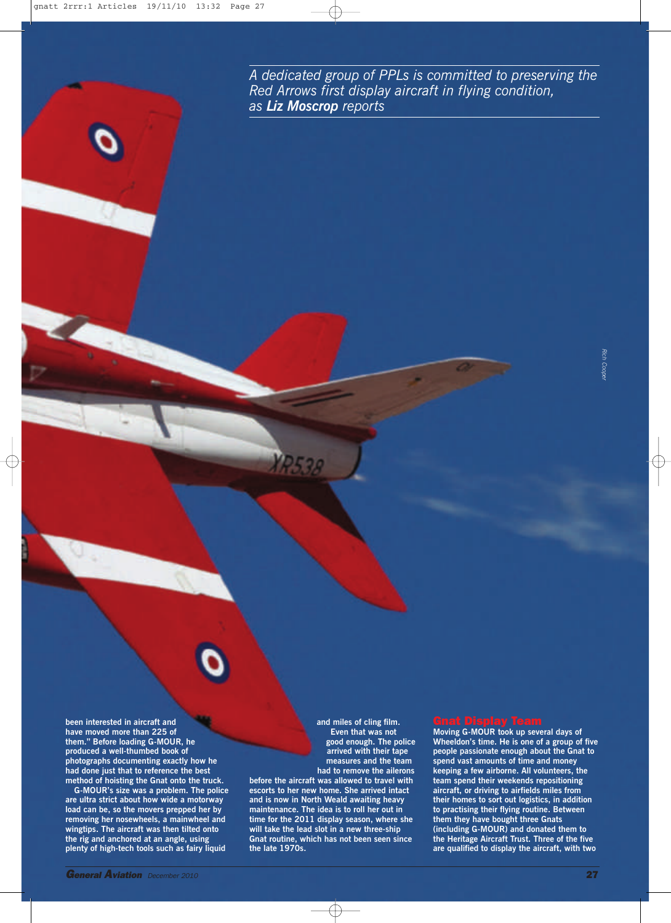*A dedicated group of PPLs is committed to preserving the Red Arrows first display aircraft in flying condition, as Liz Moscrop reports*

**been interested in aircraft and have moved more than 225 of them." Before loading G-MOUR, he produced a well-thumbed book of photographs documenting exactly how he had done just that to reference the best method of hoisting the Gnat onto the truck.**

**G-MOUR's size was a problem. The police are ultra strict about how wide a motorway load can be, so the movers prepped her by removing her nosewheels, a mainwheel and wingtips. The aircraft was then tilted onto the rig and anchored at an angle, using plenty of high-tech tools such as fairy liquid**

**and miles of cling film. Even that was not good enough. The police arrived with their tape measures and the team had to remove the ailerons before the aircraft was allowed to travel with**

**escorts to her new home. She arrived intact and is now in North Weald awaiting heavy maintenance. The idea is to roll her out in time for the 2011 display season, where she will take the lead slot in a new three-ship Gnat routine, which has not been seen since the late 1970s.**

**Moving G-MOUR took up several days of Wheeldon's time. He is one of a group of five people passionate enough about the Gnat to spend vast amounts of time and money keeping a few airborne. All volunteers, the team spend their weekends repositioning aircraft, or driving to airfields miles from their homes to sort out logistics, in addition to practising their flying routine. Between them they have bought three Gnats (including G-MOUR) and donated them to the Heritage Aircraft Trust. Three of the five are qualified to display the aircraft, with two**

*Rich Cooper*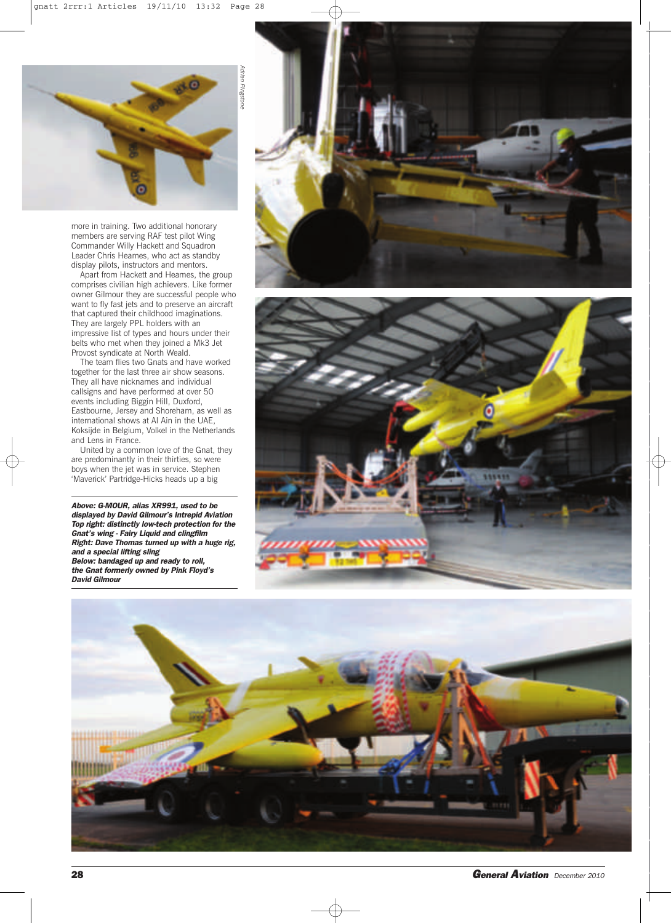

more in training. Two additional honorary members are serving RAF test pilot Wing Commander Willy Hackett and Squadron Leader Chris Heames, who act as standby display pilots, instructors and mentors.

Apart from Hackett and Heames, the group comprises civilian high achievers. Like former owner Gilmour they are successful people who want to fly fast jets and to preserve an aircraft that captured their childhood imaginations. They are largely PPL holders with an impressive list of types and hours under their belts who met when they joined a Mk3 Jet Provost syndicate at North Weald.

The team flies two Gnats and have worked together for the last three air show seasons. They all have nicknames and individual callsigns and have performed at over 50 events including Biggin Hill, Duxford, Eastbourne, Jersey and Shoreham, as well as international shows at Al Ain in the UAE, Koksijde in Belgium, Volkel in the Netherlands and Lens in France.

United by a common love of the Gnat, they are predominantly in their thirties, so were boys when the jet was in service. Stephen 'Maverick' Partridge-Hicks heads up a big

*Above: G-MOUR, alias XR991, used to be displayed by David Gilmour's Intrepid Aviation Top right: distinctly low-tech protection for the Gnat's wing - Fairy Liquid and clingfilm Right: Dave Thomas turned up with a huge rig, and a special lifting sling Below: bandaged up and ready to roll, the Gnat formerly owned by Pink Floyd's David Gilmour*







**28** *General Aviation December <sup>2010</sup>*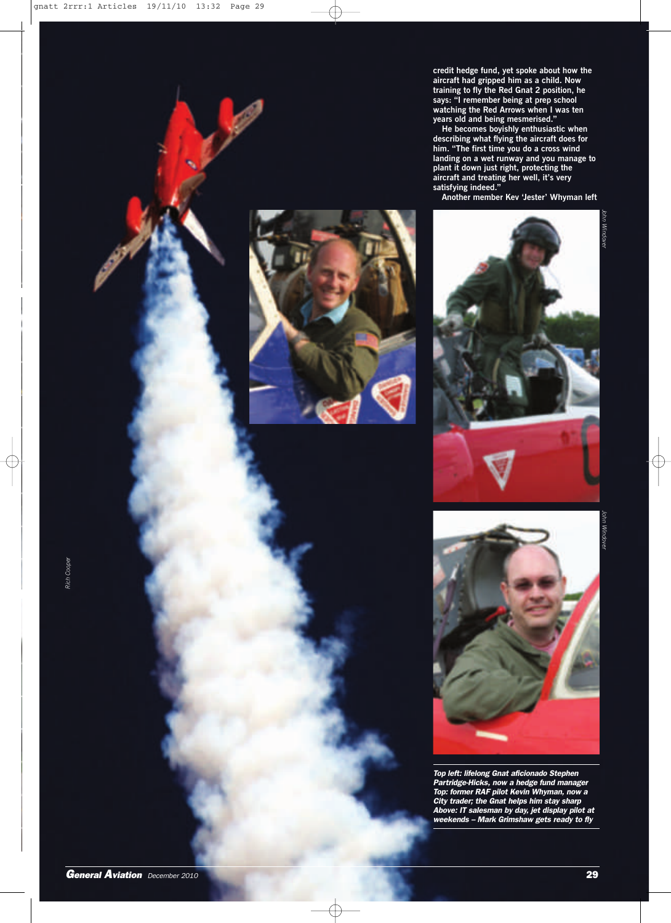**credit hedge fund, yet spoke about how the aircraft had gripped him as a child. Now training to fly the Red Gnat 2 position, he says: "I remember being at prep school watching the Red Arrows when I was ten years old and being mesmerised."**

**He becomes boyishly enthusiastic when describing what flying the aircraft does for him. "The first time you do a cross wind landing on a wet runway and you manage to plant it down just right, protecting the aircraft and treating her well, it's very satisfying indeed."**

**Another member Kev 'Jester' Whyman left**









*Top left: lifelong Gnat aficionado Stephen Partridge-Hicks, now a hedge fund manager Top: former RAF pilot Kevin Whyman, now a City trader; the Gnat helps him stay sharp Above: IT salesman by day, jet display pilot at weekends – Mark Grimshaw gets ready to fly*

*General Aviation December <sup>2010</sup>* **29**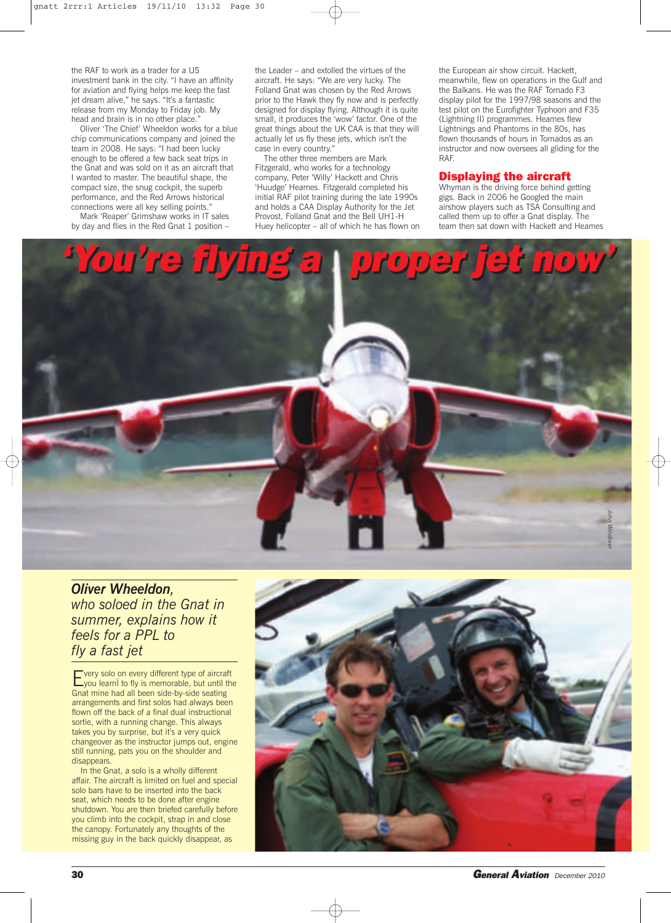the RAF to work as a trader for a US investment bank in the city. "I have an affinity for aviation and flying helps me keep the fast jet dream alive," he says. "It's a fantastic release from my Monday to Friday job. My head and brain is in no other place.'

Oliver 'The Chief' Wheeldon works for a blue chip communications company and joined the team in 2008. He says: "I had been lucky enough to be offered a few back seat trips in the Gnat and was sold on it as an aircraft that I wanted to master. The beautiful shape, the compact size, the snug cockpit, the superb performance, and the Red Arrows historical connections were all key selling points." Mark 'Reaper' Grimshaw works in IT sales

by day and flies in the Red Gnat 1 position –

the Leader – and extolled the virtues of the aircraft. He says: "We are very lucky. The Folland Gnat was chosen by the Red Arrows prior to the Hawk they fly now and is perfectly designed for display flying. Although it is quite small, it produces the 'wow' factor. One of the great things about the UK CAA is that they will actually let us fly these jets, which isn't the case in every country."

The other three members are Mark Fitzgerald, who works for a technology company, Peter 'Willy' Hackett and Chris 'Huudge' Heames. Fitzgerald completed his initial RAF pilot training during the late 1990s and holds a CAA Display Authority for the Jet Provost, Folland Gnat and the Bell UH1-H Huey helicopter – all of which he has flown on the European air show circuit. Hackett, meanwhile, flew on operations in the Gulf and the Balkans. He was the RAF Tornado F3 display pilot for the 1997/98 seasons and the test pilot on the Eurofighter Typhoon and F35 (Lightning II) programmes. Heames flew Lightnings and Phantoms in the 80s, has flown thousands of hours in Tornados as an instructor and now oversees all gliding for the RAF.

## **Displaying the aircraft**

Whyman is the driving force behind getting gigs. Back in 2006 he Googled the main airshow players such as TSA Consulting and called them up to offer a Gnat display. The team then sat down with Hackett and Heames



*Oliver Wheeldon, who soloed in the Gnat in summer, explains how it feels for a PPL to fly a fast jet*

Every solo on every different type of aircraft<br>Lyou learni to fly is memorable, but until the Gnat mine had all been side-by-side seating arrangements and first solos had always been flown off the back of a final dual instructional sortie, with a running change. This always takes you by surprise, but it's a very quick changeover as the instructor jumps out, engine still running, pats you on the shoulder and disappears.

In the Gnat, a solo is a wholly different affair. The aircraft is limited on fuel and special solo bars have to be inserted into the back seat, which needs to be done after engine shutdown. You are then briefed carefully before you climb into the cockpit, strap in and close the canopy. Fortunately any thoughts of the missing guy in the back quickly disappear, as



**30** *General Aviation December <sup>2010</sup>*